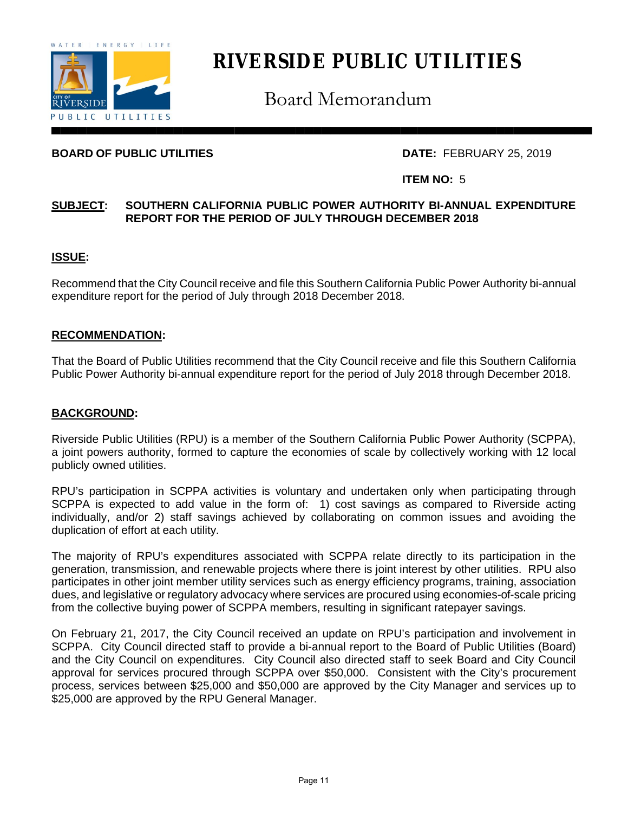

# **RIVERSIDE PUBLIC UTILITIES**

Board Memorandum

# **BOARD OF PUBLIC UTILITIES** DATE: FEBRUARY 25, 2019

### **ITEM NO:** 5

### **SUBJECT: SOUTHERN CALIFORNIA PUBLIC POWER AUTHORITY BI-ANNUAL EXPENDITURE REPORT FOR THE PERIOD OF JULY THROUGH DECEMBER 2018**

## **ISSUE:**

Recommend that the City Council receive and file this Southern California Public Power Authority bi-annual expenditure report for the period of July through 2018 December 2018.

## **RECOMMENDATION:**

That the Board of Public Utilities recommend that the City Council receive and file this Southern California Public Power Authority bi-annual expenditure report for the period of July 2018 through December 2018.

#### **BACKGROUND:**

Riverside Public Utilities (RPU) is a member of the Southern California Public Power Authority (SCPPA), a joint powers authority, formed to capture the economies of scale by collectively working with 12 local publicly owned utilities.

RPU's participation in SCPPA activities is voluntary and undertaken only when participating through SCPPA is expected to add value in the form of: 1) cost savings as compared to Riverside acting individually, and/or 2) staff savings achieved by collaborating on common issues and avoiding the duplication of effort at each utility.

The majority of RPU's expenditures associated with SCPPA relate directly to its participation in the generation, transmission, and renewable projects where there is joint interest by other utilities. RPU also participates in other joint member utility services such as energy efficiency programs, training, association dues, and legislative or regulatory advocacy where services are procured using economies-of-scale pricing from the collective buying power of SCPPA members, resulting in significant ratepayer savings.

On February 21, 2017, the City Council received an update on RPU's participation and involvement in SCPPA. City Council directed staff to provide a bi-annual report to the Board of Public Utilities (Board) and the City Council on expenditures. City Council also directed staff to seek Board and City Council approval for services procured through SCPPA over \$50,000. Consistent with the City's procurement process, services between \$25,000 and \$50,000 are approved by the City Manager and services up to \$25,000 are approved by the RPU General Manager.